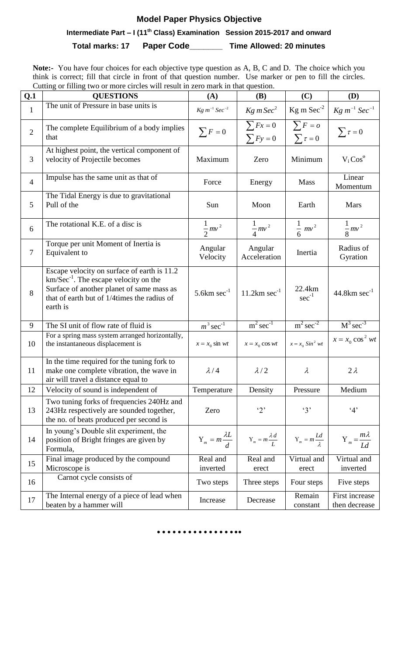# **Model Paper Physics Objective**

 **Intermediate Part – I (11th Class) Examination Session 2015-2017 and onward**

**Total marks: 17 Paper Code\_\_\_\_\_\_\_ Time Allowed: 20 minutes**

**Note:-** You have four choices for each objective type question as A, B, C and D. The choice which you think is correct; fill that circle in front of that question number. Use marker or pen to fill the circles. Cutting or filling two or more circles will result in zero mark in that question.

| Q.1            | Catting of Thing two of more energy will result in zero mark in that question.<br><b>QUESTIONS</b>                                                                                                | (A)                            | <b>(B)</b>                        | (C)                             | <b>(D)</b>                        |
|----------------|---------------------------------------------------------------------------------------------------------------------------------------------------------------------------------------------------|--------------------------------|-----------------------------------|---------------------------------|-----------------------------------|
| $\mathbf{1}$   | The unit of Pressure in base units is                                                                                                                                                             | $Kg\ m^{-1}$ Sec <sup>-2</sup> | Kg m Sec <sup>2</sup>             | $Kg$ m $Sec-2$                  | $Kg\ m^{-1}$ Sec <sup>-1</sup>    |
| $\overline{2}$ | The complete Equilibrium of a body implies<br>that                                                                                                                                                | $\sum F = 0$                   | $\sum Fx=0$<br>$\sum Fy=0$        | $\sum F = o$<br>$\sum \tau = 0$ | $\sum \tau = 0$                   |
| 3              | At highest point, the vertical component of<br>velocity of Projectile becomes                                                                                                                     | Maximum                        | Zero                              | Minimum                         | $V_i Cos^{\theta}$                |
| $\overline{4}$ | Impulse has the same unit as that of                                                                                                                                                              | Force                          | Energy                            | <b>Mass</b>                     | Linear<br>Momentum                |
| 5              | The Tidal Energy is due to gravitational<br>Pull of the                                                                                                                                           | Sun                            | Moon                              | Earth                           | <b>Mars</b>                       |
| 6              | The rotational K.E. of a disc is                                                                                                                                                                  | $rac{1}{2}mv^2$                | $\frac{1}{4}mv^2$                 | $\frac{1}{6} m v^2$             | $\frac{1}{8}mv^2$                 |
| $\tau$         | Torque per unit Moment of Inertia is<br>Equivalent to                                                                                                                                             | Angular<br>Velocity            | Angular<br>Acceleration           | Inertia                         | Radius of<br>Gyration             |
| 8              | Escape velocity on surface of earth is 11.2<br>$km/Sec^{-1}$ . The escape velocity on the<br>Surface of another planet of same mass as<br>that of earth but of 1/4times the radius of<br>earth is | 5.6 $km \sec^{-1}$             | $11.2 \text{km} \text{ sec}^{-1}$ | 22.4km<br>$sec^{-1}$            | $44.8 \text{km} \text{ sec}^{-1}$ |
| 9              | The SI unit of flow rate of fluid is                                                                                                                                                              | $m^3 \sec^{-1}$                | $m^2$ sec <sup>-1</sup>           | $m^2 \sec^2$                    | $M^3 \sec^{-3}$                   |
| 10             | For a spring mass system arranged horizontally,<br>the instantaneous displacement is                                                                                                              | $x = x_0 \sin wt$              | $x = x_0 \cos wt$                 | $x = x_0 \sin^2 wt$             | $x = x_0 \cos^2 wt$               |
| 11             | In the time required for the tuning fork to<br>make one complete vibration, the wave in<br>air will travel a distance equal to                                                                    | $\lambda/4$                    | $\lambda/2$                       | $\lambda$                       | $2\lambda$                        |
| 12             | Velocity of sound is independent of                                                                                                                                                               | Temperature                    | Density                           | Pressure                        | Medium                            |
| 13             | Two tuning forks of frequencies 240Hz and<br>243Hz respectively are sounded together,<br>the no. of beats produced per second is                                                                  | Zero                           | '2'                               | 3'                              | 4'                                |
| 14             | In young's Double slit experiment, the<br>position of Bright fringes are given by<br>Formula,                                                                                                     | $Y_m = m \frac{\lambda L}{d}$  | $Y_m = m \frac{\lambda d}{I}$     | $Y_m = m \frac{Ld}{\lambda}$    | $Y_m = \frac{m\lambda}{Id}$       |
| 15             | Final image produced by the compound<br>Microscope is                                                                                                                                             | Real and<br>inverted           | Real and<br>erect                 | Virtual and<br>erect            | Virtual and<br>inverted           |
| 16             | Carnot cycle consists of                                                                                                                                                                          | Two steps                      | Three steps                       | Four steps                      | Five steps                        |
| 17             | The Internal energy of a piece of lead when<br>beaten by a hammer will                                                                                                                            | Increase                       | Decrease                          | Remain<br>constant              | First increase<br>then decrease   |

#### **……………..**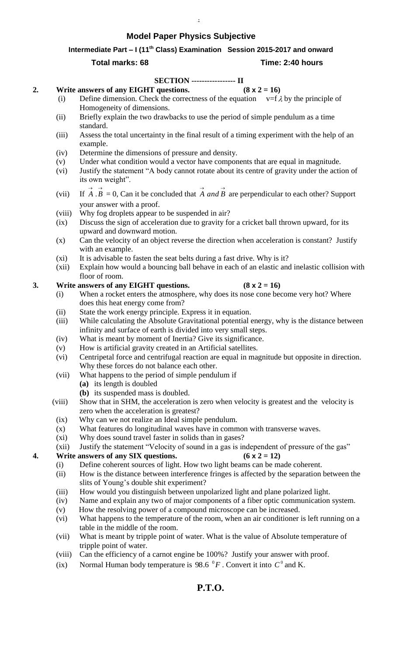## **Model Paper Physics Subjective**

#### **Intermediate Part – I (11th Class) Examination Session 2015-2017 and onward**

.

#### **Total marks: 68 Time: 2:40 hours**

### **SECTION ----------------- II**

#### **2. Write answers of any EIGHT questions.**  $(8 \times 2 = 16)$

- (i) Define dimension. Check the correctness of the equation  $v = f \lambda$  by the principle of Homogeneity of dimensions.
- (ii) Briefly explain the two drawbacks to use the period of simple pendulum as a time standard.
- (iii) Assess the total uncertainty in the final result of a timing experiment with the help of an example.
- (iv) Determine the dimensions of pressure and density.
- (v) Under what condition would a vector have components that are equal in magnitude.
- (vi) Justify the statement "A body cannot rotate about its centre of gravity under the action of its own weight".
- $(vii)$  $\overrightarrow{A} \cdot \overrightarrow{B} = 0$ , Can it be concluded that  $\overrightarrow{A}$  *and*  $\overrightarrow{B}$  are perpendicular to each other? Support your answer with a proof.
- (viii) Why fog droplets appear to be suspended in air?
- (ix) Discuss the sign of acceleration due to gravity for a cricket ball thrown upward, for its upward and downward motion.
- (x) Can the velocity of an object reverse the direction when acceleration is constant? Justify with an example.
- (xi) It is advisable to fasten the seat belts during a fast drive. Why is it?
- (xii) Explain how would a bouncing ball behave in each of an elastic and inelastic collision with floor of room.

### **3. Write answers of any EIGHT questions.**  $(8 \times 2 = 16)$

### (i) When a rocket enters the atmosphere, why does its nose cone become very hot? Where does this heat energy come from?

- (ii) State the work energy principle. Express it in equation.
- (iii) While calculating the Absolute Gravitational potential energy, why is the distance between infinity and surface of earth is divided into very small steps.
- (iv) What is meant by moment of Inertia? Give its significance.
- (v) How is artificial gravity created in an Artificial satellites.
- (vi) Centripetal force and centrifugal reaction are equal in magnitude but opposite in direction. Why these forces do not balance each other.
- (vii) What happens to the period of simple pendulum if
	- **(a)** its length is doubled
	- **(b)** its suspended mass is doubled.
- (viii) Show that in SHM, the acceleration is zero when velocity is greatest and the velocity is zero when the acceleration is greatest?
- (ix) Why can we not realize an Ideal simple pendulum.
- (x) What features do longitudinal waves have in common with transverse waves.
- (xi) Why does sound travel faster in solids than in gases?
- (xii) Justify the statement "Velocity of sound in a gas is independent of pressure of the gas"

#### **4. Write answers of any SIX questions.**  $(6 \times 2 = 12)$

- (i) Define coherent sources of light. How two light beams can be made coherent.
- (ii) How is the distance between interference fringes is affected by the separation between the slits of Young's double shit experiment?
- (iii) How would you distinguish between unpolarized light and plane polarized light.
- (iv) Name and explain any two of major components of a fiber optic communication system.
- (v) How the resolving power of a compound microscope can be increased.
- (vi) What happens to the temperature of the room, when an air conditioner is left running on a table in the middle of the room.
- (vii) What is meant by tripple point of water. What is the value of Absolute temperature of tripple point of water.
- (viii) Can the efficiency of a carnot engine be 100%? Justify your answer with proof.
- (ix) Normal Human body temperature is 98.6  ${}^{0}F$ . Convert it into  $C^{0}$  and K.

**P.T.O.**